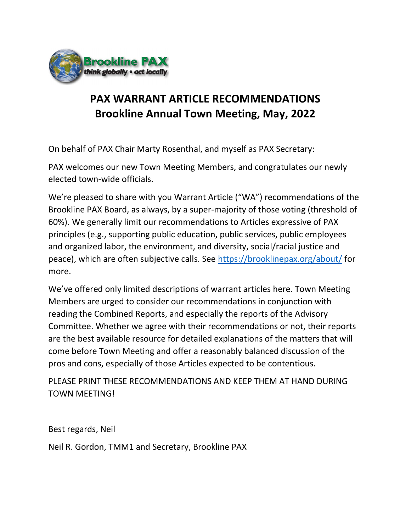

## PAX WARRANT ARTICLE RECOMMENDATIONS Brookline Annual Town Meeting, May, 2022

On behalf of PAX Chair Marty Rosenthal, and myself as PAX Secretary:

PAX welcomes our new Town Meeting Members, and congratulates our newly elected town-wide officials.

We're pleased to share with you Warrant Article ("WA") recommendations of the Brookline PAX Board, as always, by a super-majority of those voting (threshold of 60%). We generally limit our recommendations to Articles expressive of PAX principles (e.g., supporting public education, public services, public employees and organized labor, the environment, and diversity, social/racial justice and peace), which are often subjective calls. See https://brooklinepax.org/about/ for more.

We've offered only limited descriptions of warrant articles here. Town Meeting Members are urged to consider our recommendations in conjunction with reading the Combined Reports, and especially the reports of the Advisory Committee. Whether we agree with their recommendations or not, their reports are the best available resource for detailed explanations of the matters that will come before Town Meeting and offer a reasonably balanced discussion of the pros and cons, especially of those Articles expected to be contentious.

PLEASE PRINT THESE RECOMMENDATIONS AND KEEP THEM AT HAND DURING TOWN MEETING!

Best regards, Neil

Neil R. Gordon, TMM1 and Secretary, Brookline PAX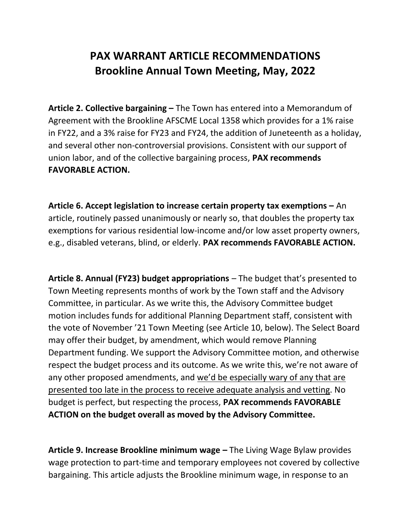## PAX WARRANT ARTICLE RECOMMENDATIONS Brookline Annual Town Meeting, May, 2022

Article 2. Collective bargaining – The Town has entered into a Memorandum of Agreement with the Brookline AFSCME Local 1358 which provides for a 1% raise in FY22, and a 3% raise for FY23 and FY24, the addition of Juneteenth as a holiday, and several other non-controversial provisions. Consistent with our support of union labor, and of the collective bargaining process, PAX recommends FAVORABLE ACTION.

Article 6. Accept legislation to increase certain property tax exemptions – An article, routinely passed unanimously or nearly so, that doubles the property tax exemptions for various residential low-income and/or low asset property owners, e.g., disabled veterans, blind, or elderly. PAX recommends FAVORABLE ACTION.

Article 8. Annual (FY23) budget appropriations – The budget that's presented to Town Meeting represents months of work by the Town staff and the Advisory Committee, in particular. As we write this, the Advisory Committee budget motion includes funds for additional Planning Department staff, consistent with the vote of November '21 Town Meeting (see Article 10, below). The Select Board may offer their budget, by amendment, which would remove Planning Department funding. We support the Advisory Committee motion, and otherwise respect the budget process and its outcome. As we write this, we're not aware of any other proposed amendments, and we'd be especially wary of any that are presented too late in the process to receive adequate analysis and vetting. No budget is perfect, but respecting the process, PAX recommends FAVORABLE ACTION on the budget overall as moved by the Advisory Committee.

Article 9. Increase Brookline minimum wage – The Living Wage Bylaw provides wage protection to part-time and temporary employees not covered by collective bargaining. This article adjusts the Brookline minimum wage, in response to an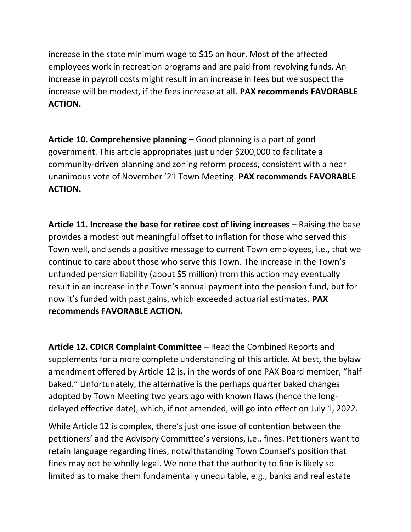increase in the state minimum wage to \$15 an hour. Most of the affected employees work in recreation programs and are paid from revolving funds. An increase in payroll costs might result in an increase in fees but we suspect the increase will be modest, if the fees increase at all. PAX recommends FAVORABLE ACTION.

Article 10. Comprehensive planning – Good planning is a part of good government. This article appropriates just under \$200,000 to facilitate a community-driven planning and zoning reform process, consistent with a near unanimous vote of November '21 Town Meeting. PAX recommends FAVORABLE ACTION.

Article 11. Increase the base for retiree cost of living increases – Raising the base provides a modest but meaningful offset to inflation for those who served this Town well, and sends a positive message to current Town employees, i.e., that we continue to care about those who serve this Town. The increase in the Town's unfunded pension liability (about \$5 million) from this action may eventually result in an increase in the Town's annual payment into the pension fund, but for now it's funded with past gains, which exceeded actuarial estimates. PAX recommends FAVORABLE ACTION.

Article 12. CDICR Complaint Committee – Read the Combined Reports and supplements for a more complete understanding of this article. At best, the bylaw amendment offered by Article 12 is, in the words of one PAX Board member, "half baked." Unfortunately, the alternative is the perhaps quarter baked changes adopted by Town Meeting two years ago with known flaws (hence the longdelayed effective date), which, if not amended, will go into effect on July 1, 2022.

While Article 12 is complex, there's just one issue of contention between the petitioners' and the Advisory Committee's versions, i.e., fines. Petitioners want to retain language regarding fines, notwithstanding Town Counsel's position that fines may not be wholly legal. We note that the authority to fine is likely so limited as to make them fundamentally unequitable, e.g., banks and real estate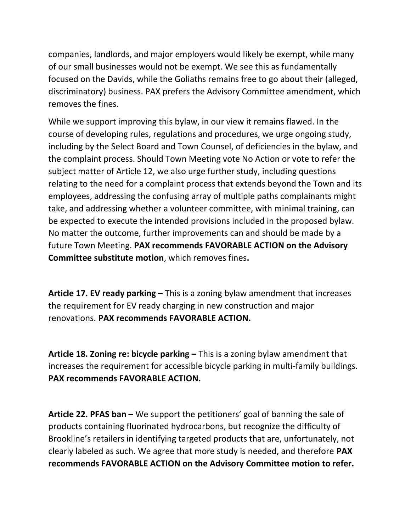companies, landlords, and major employers would likely be exempt, while many of our small businesses would not be exempt. We see this as fundamentally focused on the Davids, while the Goliaths remains free to go about their (alleged, discriminatory) business. PAX prefers the Advisory Committee amendment, which removes the fines.

While we support improving this bylaw, in our view it remains flawed. In the course of developing rules, regulations and procedures, we urge ongoing study, including by the Select Board and Town Counsel, of deficiencies in the bylaw, and the complaint process. Should Town Meeting vote No Action or vote to refer the subject matter of Article 12, we also urge further study, including questions relating to the need for a complaint process that extends beyond the Town and its employees, addressing the confusing array of multiple paths complainants might take, and addressing whether a volunteer committee, with minimal training, can be expected to execute the intended provisions included in the proposed bylaw. No matter the outcome, further improvements can and should be made by a future Town Meeting. PAX recommends FAVORABLE ACTION on the Advisory Committee substitute motion, which removes fines.

Article 17. EV ready parking – This is a zoning bylaw amendment that increases the requirement for EV ready charging in new construction and major renovations. PAX recommends FAVORABLE ACTION.

Article 18. Zoning re: bicycle parking – This is a zoning bylaw amendment that increases the requirement for accessible bicycle parking in multi-family buildings. PAX recommends FAVORABLE ACTION.

Article 22. PFAS ban – We support the petitioners' goal of banning the sale of products containing fluorinated hydrocarbons, but recognize the difficulty of Brookline's retailers in identifying targeted products that are, unfortunately, not clearly labeled as such. We agree that more study is needed, and therefore PAX recommends FAVORABLE ACTION on the Advisory Committee motion to refer.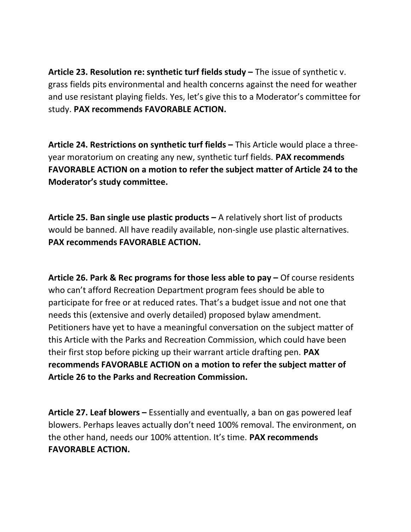Article 23. Resolution re: synthetic turf fields study – The issue of synthetic v. grass fields pits environmental and health concerns against the need for weather and use resistant playing fields. Yes, let's give this to a Moderator's committee for study. PAX recommends FAVORABLE ACTION.

Article 24. Restrictions on synthetic turf fields – This Article would place a threeyear moratorium on creating any new, synthetic turf fields. PAX recommends FAVORABLE ACTION on a motion to refer the subject matter of Article 24 to the Moderator's study committee.

Article 25. Ban single use plastic products  $-$  A relatively short list of products would be banned. All have readily available, non-single use plastic alternatives. PAX recommends FAVORABLE ACTION.

Article 26. Park & Rec programs for those less able to pay – Of course residents who can't afford Recreation Department program fees should be able to participate for free or at reduced rates. That's a budget issue and not one that needs this (extensive and overly detailed) proposed bylaw amendment. Petitioners have yet to have a meaningful conversation on the subject matter of this Article with the Parks and Recreation Commission, which could have been their first stop before picking up their warrant article drafting pen. PAX recommends FAVORABLE ACTION on a motion to refer the subject matter of Article 26 to the Parks and Recreation Commission.

Article 27. Leaf blowers – Essentially and eventually, a ban on gas powered leaf blowers. Perhaps leaves actually don't need 100% removal. The environment, on the other hand, needs our 100% attention. It's time. PAX recommends FAVORABLE ACTION.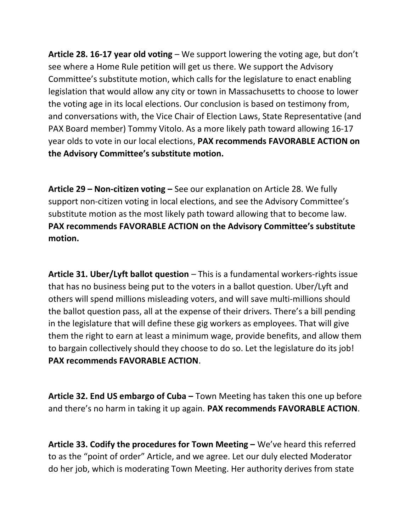Article 28. 16-17 year old voting  $-$  We support lowering the voting age, but don't see where a Home Rule petition will get us there. We support the Advisory Committee's substitute motion, which calls for the legislature to enact enabling legislation that would allow any city or town in Massachusetts to choose to lower the voting age in its local elections. Our conclusion is based on testimony from, and conversations with, the Vice Chair of Election Laws, State Representative (and PAX Board member) Tommy Vitolo. As a more likely path toward allowing 16-17 year olds to vote in our local elections, PAX recommends FAVORABLE ACTION on the Advisory Committee's substitute motion.

Article 29 – Non-citizen voting – See our explanation on Article 28. We fully support non-citizen voting in local elections, and see the Advisory Committee's substitute motion as the most likely path toward allowing that to become law. PAX recommends FAVORABLE ACTION on the Advisory Committee's substitute motion.

Article 31. Uber/Lyft ballot question – This is a fundamental workers-rights issue that has no business being put to the voters in a ballot question. Uber/Lyft and others will spend millions misleading voters, and will save multi-millions should the ballot question pass, all at the expense of their drivers. There's a bill pending in the legislature that will define these gig workers as employees. That will give them the right to earn at least a minimum wage, provide benefits, and allow them to bargain collectively should they choose to do so. Let the legislature do its job! PAX recommends FAVORABLE ACTION.

Article 32. End US embargo of Cuba – Town Meeting has taken this one up before and there's no harm in taking it up again. PAX recommends FAVORABLE ACTION.

Article 33. Codify the procedures for Town Meeting – We've heard this referred to as the "point of order" Article, and we agree. Let our duly elected Moderator do her job, which is moderating Town Meeting. Her authority derives from state